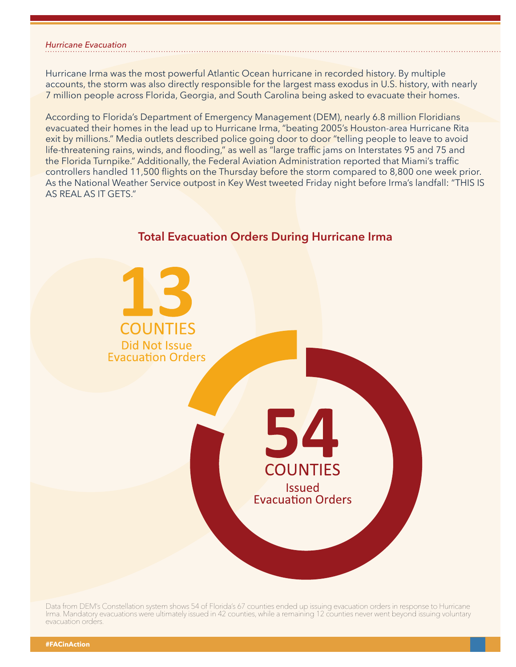## *Hurricane Evacuation*

Hurricane Irma was the most powerful Atlantic Ocean hurricane in recorded history. By multiple accounts, the storm was also directly responsible for the largest mass exodus in U.S. history, with nearly 7 million people across Florida, Georgia, and South Carolina being asked to evacuate their homes.

According to Florida's Department of Emergency Management (DEM), nearly 6.8 million Floridians evacuated their homes in the lead up to Hurricane Irma, "beating 2005's Houston-area Hurricane Rita exit by millions." Media outlets described police going door to door "telling people to leave to avoid life-threatening rains, winds, and flooding," as well as "large traffic jams on Interstates 95 and 75 and the Florida Turnpike." Additionally, the Federal Aviation Administration reported that Miami's traffic controllers handled 11,500 flights on the Thursday before the storm compared to 8,800 one week prior. As the National Weather Service outpost in Key West tweeted Friday night before Irma's landfall: "THIS IS AS REAL AS IT GETS."



**Total Evacuation Orders During Hurricane Irma**

Data from DEM's Constellation system shows 54 of Florida's 67 counties ended up issuing evacuation orders in response to Hurricane Irma. Mandatory evacuations were ultimately issued in 42 counties, while a remaining 12 counties never went beyond issuing voluntary evacuation orders.